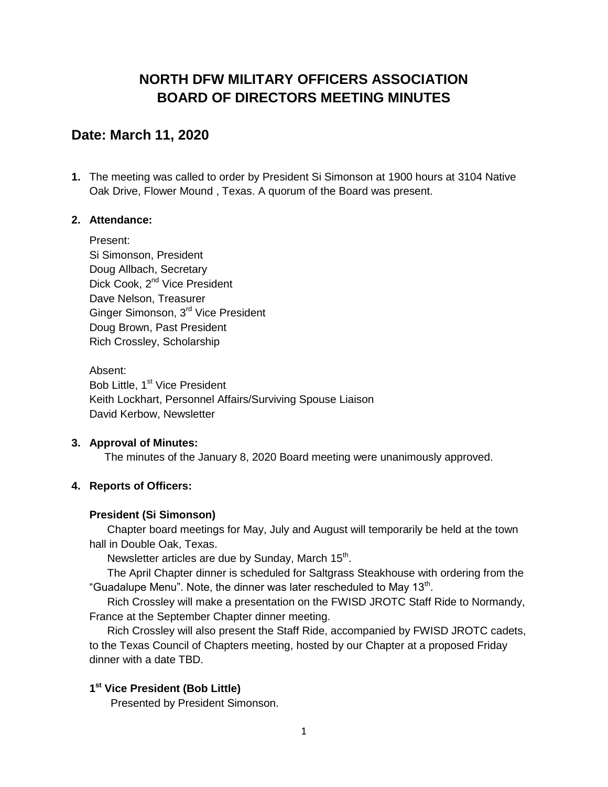# **NORTH DFW MILITARY OFFICERS ASSOCIATION BOARD OF DIRECTORS MEETING MINUTES**

# **Date: March 11, 2020**

**1.** The meeting was called to order by President Si Simonson at 1900 hours at 3104 Native Oak Drive, Flower Mound , Texas. A quorum of the Board was present.

## **2. Attendance:**

Present: Si Simonson, President Doug Allbach, Secretary Dick Cook, 2<sup>nd</sup> Vice President Dave Nelson, Treasurer Ginger Simonson, 3<sup>rd</sup> Vice President Doug Brown, Past President Rich Crossley, Scholarship

Absent: Bob Little, 1<sup>st</sup> Vice President Keith Lockhart, Personnel Affairs/Surviving Spouse Liaison David Kerbow, Newsletter

## **3. Approval of Minutes:**

The minutes of the January 8, 2020 Board meeting were unanimously approved.

## **4. Reports of Officers:**

## **President (Si Simonson)**

Chapter board meetings for May, July and August will temporarily be held at the town hall in Double Oak, Texas.

Newsletter articles are due by Sunday, March 15<sup>th</sup>.

The April Chapter dinner is scheduled for Saltgrass Steakhouse with ordering from the "Guadalupe Menu". Note, the dinner was later rescheduled to May 13 $^{\rm th}$ .

Rich Crossley will make a presentation on the FWISD JROTC Staff Ride to Normandy, France at the September Chapter dinner meeting.

Rich Crossley will also present the Staff Ride, accompanied by FWISD JROTC cadets, to the Texas Council of Chapters meeting, hosted by our Chapter at a proposed Friday dinner with a date TBD.

## **1 st Vice President (Bob Little)**

Presented by President Simonson.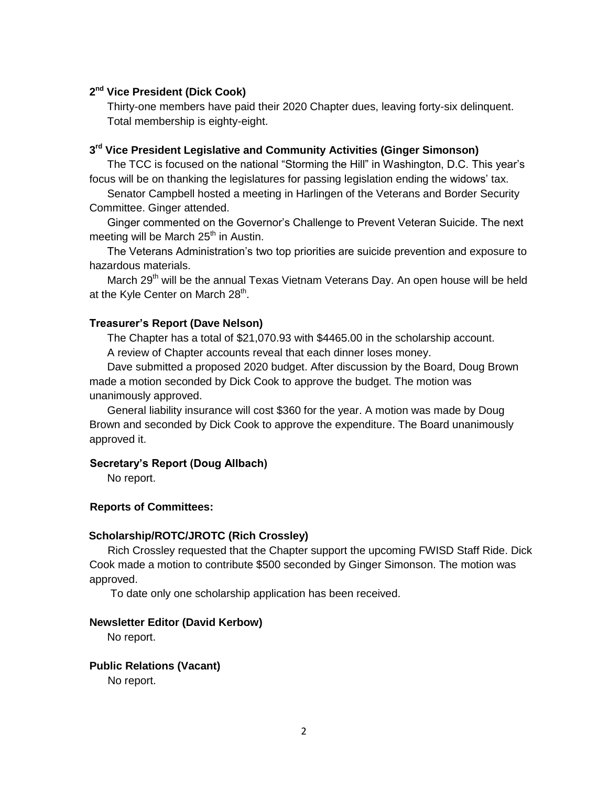## **2 nd Vice President (Dick Cook)**

Thirty-one members have paid their 2020 Chapter dues, leaving forty-six delinquent. Total membership is eighty-eight.

### **3 rd Vice President Legislative and Community Activities (Ginger Simonson)**

The TCC is focused on the national "Storming the Hill" in Washington, D.C. This year's focus will be on thanking the legislatures for passing legislation ending the widows' tax.

Senator Campbell hosted a meeting in Harlingen of the Veterans and Border Security Committee. Ginger attended.

Ginger commented on the Governor's Challenge to Prevent Veteran Suicide. The next meeting will be March  $25<sup>th</sup>$  in Austin.

The Veterans Administration's two top priorities are suicide prevention and exposure to hazardous materials.

March 29<sup>th</sup> will be the annual Texas Vietnam Veterans Day. An open house will be held at the Kyle Center on March 28<sup>th</sup>.

#### **Treasurer's Report (Dave Nelson)**

The Chapter has a total of \$21,070.93 with \$4465.00 in the scholarship account. A review of Chapter accounts reveal that each dinner loses money.

Dave submitted a proposed 2020 budget. After discussion by the Board, Doug Brown made a motion seconded by Dick Cook to approve the budget. The motion was unanimously approved.

General liability insurance will cost \$360 for the year. A motion was made by Doug Brown and seconded by Dick Cook to approve the expenditure. The Board unanimously approved it.

#### **Secretary's Report (Doug Allbach)**

No report.

#### **Reports of Committees:**

#### **Scholarship/ROTC/JROTC (Rich Crossley)**

 Rich Crossley requested that the Chapter support the upcoming FWISD Staff Ride. Dick Cook made a motion to contribute \$500 seconded by Ginger Simonson. The motion was approved.

To date only one scholarship application has been received.

#### **Newsletter Editor (David Kerbow)**

No report.

## **Public Relations (Vacant)**

No report.